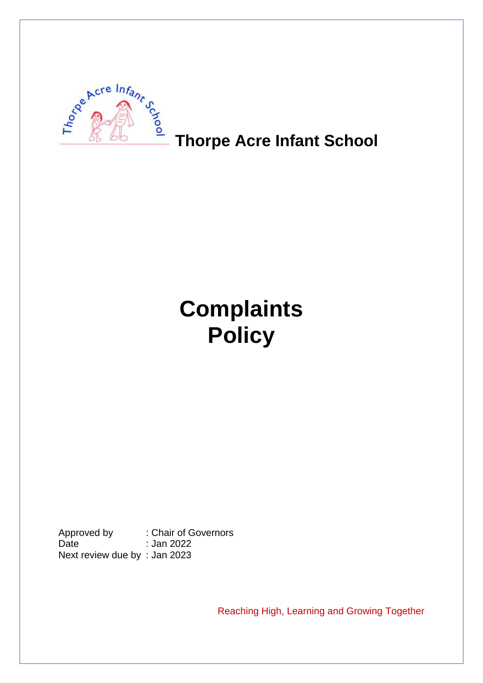

**Thorpe Acre Infant School** 

# **Complaints Policy**

Approved by : Chair of Governors Date : Jan 2022 Next review due by : Jan 2023

Reaching High, Learning and Growing Together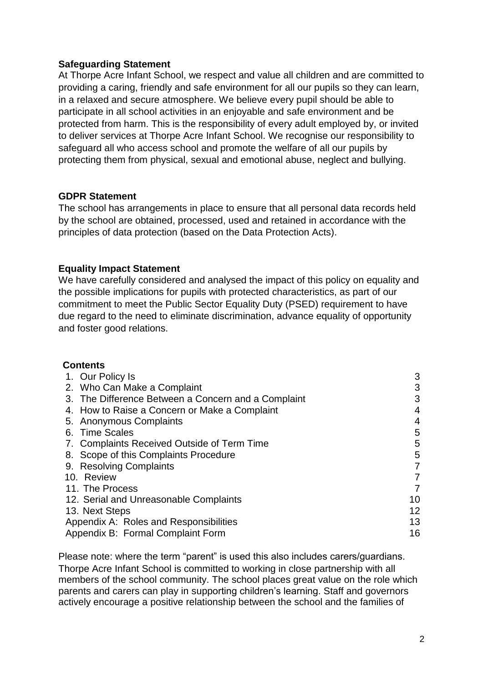## **Safeguarding Statement**

At Thorpe Acre Infant School, we respect and value all children and are committed to providing a caring, friendly and safe environment for all our pupils so they can learn, in a relaxed and secure atmosphere. We believe every pupil should be able to participate in all school activities in an enjoyable and safe environment and be protected from harm. This is the responsibility of every adult employed by, or invited to deliver services at Thorpe Acre Infant School. We recognise our responsibility to safeguard all who access school and promote the welfare of all our pupils by protecting them from physical, sexual and emotional abuse, neglect and bullying.

## **GDPR Statement**

The school has arrangements in place to ensure that all personal data records held by the school are obtained, processed, used and retained in accordance with the principles of data protection (based on the Data Protection Acts).

## **Equality Impact Statement**

We have carefully considered and analysed the impact of this policy on equality and the possible implications for pupils with protected characteristics, as part of our commitment to meet the Public Sector Equality Duty (PSED) requirement to have due regard to the need to eliminate discrimination, advance equality of opportunity and foster good relations.

#### **Contents**

| 3              |
|----------------|
| 3              |
| 3              |
| $\overline{4}$ |
| 4              |
| 5              |
| 5              |
| 5              |
| 7              |
| $\overline{7}$ |
| 7              |
| 10             |
| 12             |
| 13             |
| 16             |
|                |

Please note: where the term "parent" is used this also includes carers/guardians. Thorpe Acre Infant School is committed to working in close partnership with all members of the school community. The school places great value on the role which parents and carers can play in supporting children's learning. Staff and governors actively encourage a positive relationship between the school and the families of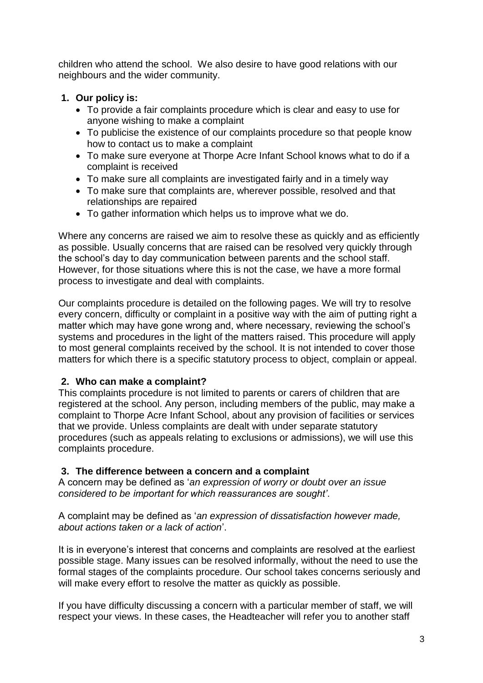children who attend the school. We also desire to have good relations with our neighbours and the wider community.

# **1. Our policy is:**

- To provide a fair complaints procedure which is clear and easy to use for anyone wishing to make a complaint
- To publicise the existence of our complaints procedure so that people know how to contact us to make a complaint
- To make sure everyone at Thorpe Acre Infant School knows what to do if a complaint is received
- To make sure all complaints are investigated fairly and in a timely way
- To make sure that complaints are, wherever possible, resolved and that relationships are repaired
- To gather information which helps us to improve what we do.

Where any concerns are raised we aim to resolve these as quickly and as efficiently as possible. Usually concerns that are raised can be resolved very quickly through the school's day to day communication between parents and the school staff. However, for those situations where this is not the case, we have a more formal process to investigate and deal with complaints.

Our complaints procedure is detailed on the following pages. We will try to resolve every concern, difficulty or complaint in a positive way with the aim of putting right a matter which may have gone wrong and, where necessary, reviewing the school's systems and procedures in the light of the matters raised. This procedure will apply to most general complaints received by the school. It is not intended to cover those matters for which there is a specific statutory process to object, complain or appeal.

# **2. Who can make a complaint?**

This complaints procedure is not limited to parents or carers of children that are registered at the school. Any person, including members of the public, may make a complaint to Thorpe Acre Infant School, about any provision of facilities or services that we provide. Unless complaints are dealt with under separate statutory procedures (such as appeals relating to exclusions or admissions), we will use this complaints procedure.

# **3. The difference between a concern and a complaint**

A concern may be defined as '*an expression of worry or doubt over an issue considered to be important for which reassurances are sought'*.

A complaint may be defined as '*an expression of dissatisfaction however made, about actions taken or a lack of action*'.

It is in everyone's interest that concerns and complaints are resolved at the earliest possible stage. Many issues can be resolved informally, without the need to use the formal stages of the complaints procedure. Our school takes concerns seriously and will make every effort to resolve the matter as quickly as possible.

If you have difficulty discussing a concern with a particular member of staff, we will respect your views. In these cases, the Headteacher will refer you to another staff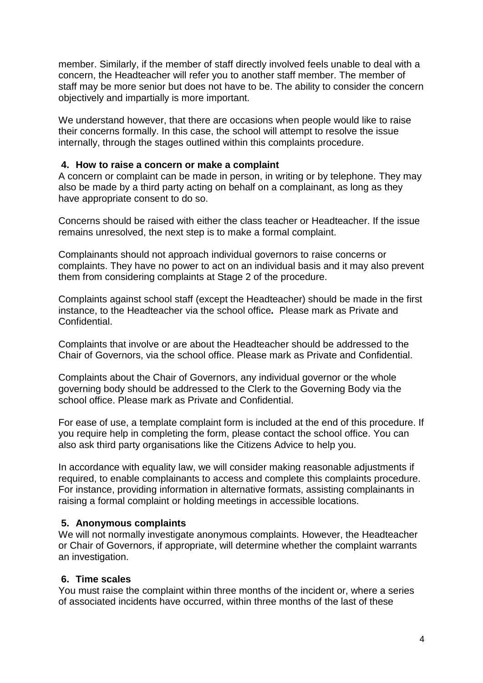member. Similarly, if the member of staff directly involved feels unable to deal with a concern, the Headteacher will refer you to another staff member. The member of staff may be more senior but does not have to be. The ability to consider the concern objectively and impartially is more important.

We understand however, that there are occasions when people would like to raise their concerns formally. In this case, the school will attempt to resolve the issue internally, through the stages outlined within this complaints procedure.

#### **4. How to raise a concern or make a complaint**

A concern or complaint can be made in person, in writing or by telephone. They may also be made by a third party acting on behalf on a complainant, as long as they have appropriate consent to do so.

Concerns should be raised with either the class teacher or Headteacher. If the issue remains unresolved, the next step is to make a formal complaint.

Complainants should not approach individual governors to raise concerns or complaints. They have no power to act on an individual basis and it may also prevent them from considering complaints at Stage 2 of the procedure.

Complaints against school staff (except the Headteacher) should be made in the first instance, to the Headteacher via the school office*.* Please mark as Private and Confidential.

Complaints that involve or are about the Headteacher should be addressed to the Chair of Governors, via the school office. Please mark as Private and Confidential.

Complaints about the Chair of Governors, any individual governor or the whole governing body should be addressed to the Clerk to the Governing Body via the school office. Please mark as Private and Confidential.

For ease of use, a template complaint form is included at the end of this procedure. If you require help in completing the form, please contact the school office. You can also ask third party organisations like the Citizens Advice to help you.

In accordance with equality law, we will consider making reasonable adjustments if required, to enable complainants to access and complete this complaints procedure. For instance, providing information in alternative formats, assisting complainants in raising a formal complaint or holding meetings in accessible locations.

#### **5. Anonymous complaints**

We will not normally investigate anonymous complaints. However, the Headteacher or Chair of Governors, if appropriate, will determine whether the complaint warrants an investigation.

#### **6. Time scales**

You must raise the complaint within three months of the incident or, where a series of associated incidents have occurred, within three months of the last of these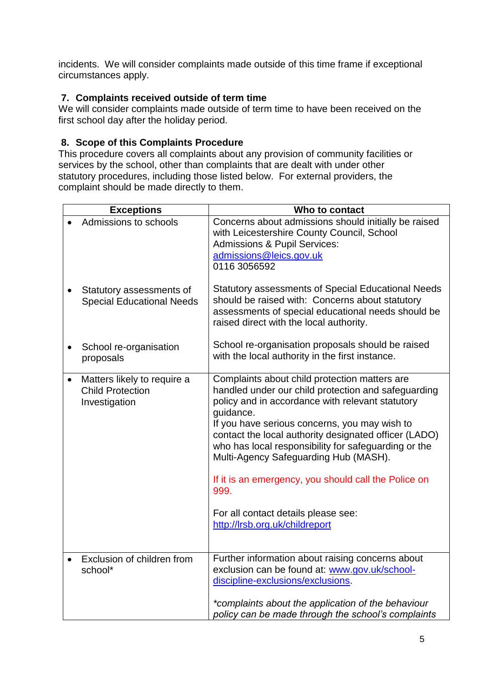incidents. We will consider complaints made outside of this time frame if exceptional circumstances apply.

# **7. Complaints received outside of term time**

We will consider complaints made outside of term time to have been received on the first school day after the holiday period.

# **8. Scope of this Complaints Procedure**

This procedure covers all complaints about any provision of community facilities or services by the school, other than complaints that are dealt with under other statutory procedures, including those listed below. For external providers, the complaint should be made directly to them.

|           | <b>Exceptions</b>                                                       | Who to contact                                                                                                                                                                                                                                                                                                                                                                                                                                                                                                            |  |  |  |
|-----------|-------------------------------------------------------------------------|---------------------------------------------------------------------------------------------------------------------------------------------------------------------------------------------------------------------------------------------------------------------------------------------------------------------------------------------------------------------------------------------------------------------------------------------------------------------------------------------------------------------------|--|--|--|
|           | Admissions to schools                                                   | Concerns about admissions should initially be raised<br>with Leicestershire County Council, School<br><b>Admissions &amp; Pupil Services:</b><br>admissions@leics.gov.uk<br>0116 3056592                                                                                                                                                                                                                                                                                                                                  |  |  |  |
|           | Statutory assessments of<br><b>Special Educational Needs</b>            | <b>Statutory assessments of Special Educational Needs</b><br>should be raised with: Concerns about statutory<br>assessments of special educational needs should be<br>raised direct with the local authority.                                                                                                                                                                                                                                                                                                             |  |  |  |
|           | School re-organisation<br>proposals                                     | School re-organisation proposals should be raised<br>with the local authority in the first instance.                                                                                                                                                                                                                                                                                                                                                                                                                      |  |  |  |
| $\bullet$ | Matters likely to require a<br><b>Child Protection</b><br>Investigation | Complaints about child protection matters are<br>handled under our child protection and safeguarding<br>policy and in accordance with relevant statutory<br>guidance.<br>If you have serious concerns, you may wish to<br>contact the local authority designated officer (LADO)<br>who has local responsibility for safeguarding or the<br>Multi-Agency Safeguarding Hub (MASH).<br>If it is an emergency, you should call the Police on<br>999.<br>For all contact details please see:<br>http://lrsb.org.uk/childreport |  |  |  |
|           | Exclusion of children from<br>school*                                   | Further information about raising concerns about<br>exclusion can be found at: www.gov.uk/school-<br>discipline-exclusions/exclusions.<br>*complaints about the application of the behaviour                                                                                                                                                                                                                                                                                                                              |  |  |  |
|           |                                                                         | policy can be made through the school's complaints                                                                                                                                                                                                                                                                                                                                                                                                                                                                        |  |  |  |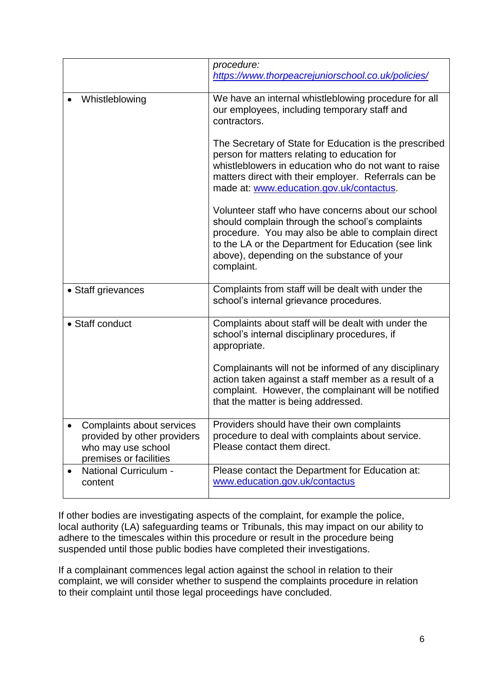|                                                                                                          | procedure:<br>https://www.thorpeacrejuniorschool.co.uk/policies/                                                                                                                                                                                                               |  |  |  |
|----------------------------------------------------------------------------------------------------------|--------------------------------------------------------------------------------------------------------------------------------------------------------------------------------------------------------------------------------------------------------------------------------|--|--|--|
| Whistleblowing                                                                                           | We have an internal whistleblowing procedure for all<br>our employees, including temporary staff and<br>contractors.                                                                                                                                                           |  |  |  |
|                                                                                                          | The Secretary of State for Education is the prescribed<br>person for matters relating to education for<br>whistleblowers in education who do not want to raise<br>matters direct with their employer. Referrals can be<br>made at: www.education.gov.uk/contactus.             |  |  |  |
|                                                                                                          | Volunteer staff who have concerns about our school<br>should complain through the school's complaints<br>procedure. You may also be able to complain direct<br>to the LA or the Department for Education (see link<br>above), depending on the substance of your<br>complaint. |  |  |  |
| • Staff grievances                                                                                       | Complaints from staff will be dealt with under the<br>school's internal grievance procedures.                                                                                                                                                                                  |  |  |  |
| • Staff conduct                                                                                          | Complaints about staff will be dealt with under the<br>school's internal disciplinary procedures, if<br>appropriate.                                                                                                                                                           |  |  |  |
|                                                                                                          | Complainants will not be informed of any disciplinary<br>action taken against a staff member as a result of a<br>complaint. However, the complainant will be notified<br>that the matter is being addressed.                                                                   |  |  |  |
| Complaints about services<br>provided by other providers<br>who may use school<br>premises or facilities | Providers should have their own complaints<br>procedure to deal with complaints about service.<br>Please contact them direct.                                                                                                                                                  |  |  |  |
| <b>National Curriculum -</b><br>content                                                                  | Please contact the Department for Education at:<br>www.education.gov.uk/contactus                                                                                                                                                                                              |  |  |  |

If other bodies are investigating aspects of the complaint, for example the police, local authority (LA) safeguarding teams or Tribunals, this may impact on our ability to adhere to the timescales within this procedure or result in the procedure being suspended until those public bodies have completed their investigations.

If a complainant commences legal action against the school in relation to their complaint, we will consider whether to suspend the complaints procedure in relation to their complaint until those legal proceedings have concluded.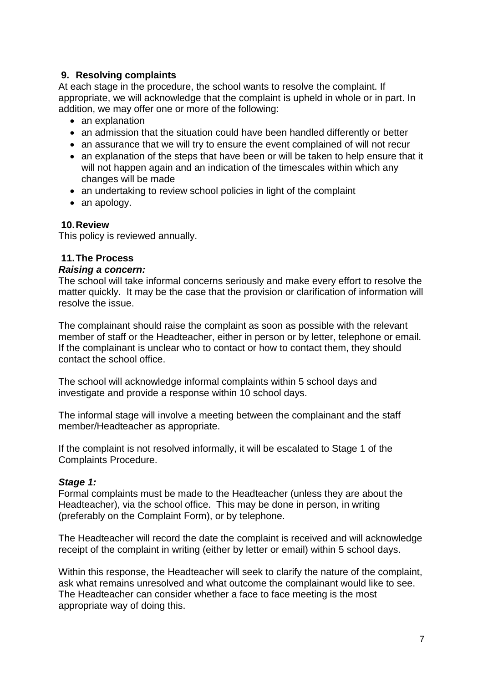## **9. Resolving complaints**

At each stage in the procedure, the school wants to resolve the complaint. If appropriate, we will acknowledge that the complaint is upheld in whole or in part. In addition, we may offer one or more of the following:

- an explanation
- an admission that the situation could have been handled differently or better
- an assurance that we will try to ensure the event complained of will not recur
- an explanation of the steps that have been or will be taken to help ensure that it will not happen again and an indication of the timescales within which any changes will be made
- an undertaking to review school policies in light of the complaint
- an apology.

#### **10.Review**

This policy is reviewed annually.

## **11.The Process**

#### *Raising a concern:*

The school will take informal concerns seriously and make every effort to resolve the matter quickly. It may be the case that the provision or clarification of information will resolve the issue.

The complainant should raise the complaint as soon as possible with the relevant member of staff or the Headteacher, either in person or by letter, telephone or email. If the complainant is unclear who to contact or how to contact them, they should contact the school office.

The school will acknowledge informal complaints within 5 school days and investigate and provide a response within 10 school days.

The informal stage will involve a meeting between the complainant and the staff member/Headteacher as appropriate.

If the complaint is not resolved informally, it will be escalated to Stage 1 of the Complaints Procedure.

#### *Stage 1:*

Formal complaints must be made to the Headteacher (unless they are about the Headteacher), via the school office. This may be done in person, in writing (preferably on the Complaint Form), or by telephone.

The Headteacher will record the date the complaint is received and will acknowledge receipt of the complaint in writing (either by letter or email) within 5 school days.

Within this response, the Headteacher will seek to clarify the nature of the complaint, ask what remains unresolved and what outcome the complainant would like to see. The Headteacher can consider whether a face to face meeting is the most appropriate way of doing this.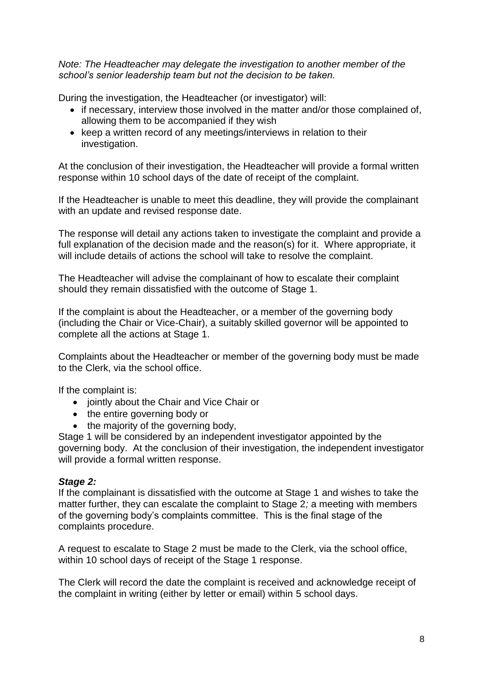*Note: The Headteacher may delegate the investigation to another member of the school's senior leadership team but not the decision to be taken.*

During the investigation, the Headteacher (or investigator) will:

- if necessary, interview those involved in the matter and/or those complained of, allowing them to be accompanied if they wish
- keep a written record of any meetings/interviews in relation to their investigation.

At the conclusion of their investigation, the Headteacher will provide a formal written response within 10 school days of the date of receipt of the complaint.

If the Headteacher is unable to meet this deadline, they will provide the complainant with an update and revised response date.

The response will detail any actions taken to investigate the complaint and provide a full explanation of the decision made and the reason(s) for it. Where appropriate, it will include details of actions the school will take to resolve the complaint.

The Headteacher will advise the complainant of how to escalate their complaint should they remain dissatisfied with the outcome of Stage 1.

If the complaint is about the Headteacher, or a member of the governing body (including the Chair or Vice-Chair), a suitably skilled governor will be appointed to complete all the actions at Stage 1.

Complaints about the Headteacher or member of the governing body must be made to the Clerk, via the school office.

If the complaint is:

- jointly about the Chair and Vice Chair or
- the entire governing body or
- the majority of the governing body,

Stage 1 will be considered by an independent investigator appointed by the governing body. At the conclusion of their investigation, the independent investigator will provide a formal written response.

# *Stage 2:*

If the complainant is dissatisfied with the outcome at Stage 1 and wishes to take the matter further, they can escalate the complaint to Stage 2*;* a meeting with members of the governing body's complaints committee. This is the final stage of the complaints procedure.

A request to escalate to Stage 2 must be made to the Clerk, via the school office, within 10 school days of receipt of the Stage 1 response.

The Clerk will record the date the complaint is received and acknowledge receipt of the complaint in writing (either by letter or email) within 5 school days.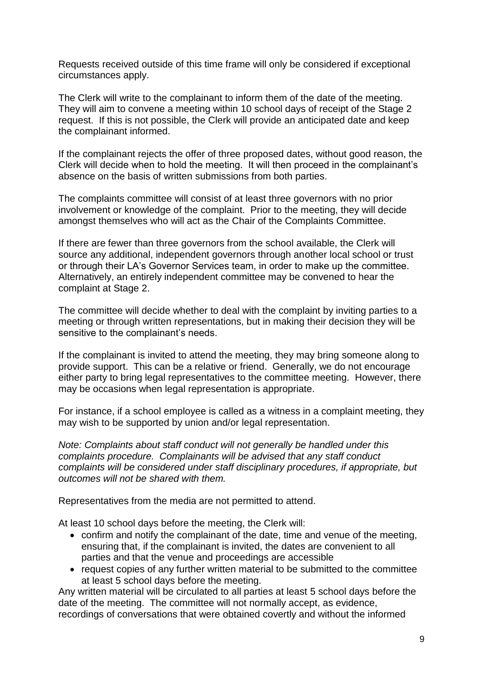Requests received outside of this time frame will only be considered if exceptional circumstances apply.

The Clerk will write to the complainant to inform them of the date of the meeting. They will aim to convene a meeting within 10 school days of receipt of the Stage 2 request. If this is not possible, the Clerk will provide an anticipated date and keep the complainant informed.

If the complainant rejects the offer of three proposed dates, without good reason, the Clerk will decide when to hold the meeting. It will then proceed in the complainant's absence on the basis of written submissions from both parties.

The complaints committee will consist of at least three governors with no prior involvement or knowledge of the complaint. Prior to the meeting, they will decide amongst themselves who will act as the Chair of the Complaints Committee.

If there are fewer than three governors from the school available, the Clerk will source any additional, independent governors through another local school or trust or through their LA's Governor Services team, in order to make up the committee. Alternatively, an entirely independent committee may be convened to hear the complaint at Stage 2.

The committee will decide whether to deal with the complaint by inviting parties to a meeting or through written representations, but in making their decision they will be sensitive to the complainant's needs.

If the complainant is invited to attend the meeting, they may bring someone along to provide support. This can be a relative or friend. Generally, we do not encourage either party to bring legal representatives to the committee meeting. However, there may be occasions when legal representation is appropriate.

For instance, if a school employee is called as a witness in a complaint meeting, they may wish to be supported by union and/or legal representation.

*Note: Complaints about staff conduct will not generally be handled under this complaints procedure. Complainants will be advised that any staff conduct complaints will be considered under staff disciplinary procedures, if appropriate, but outcomes will not be shared with them.* 

Representatives from the media are not permitted to attend.

At least 10 school days before the meeting, the Clerk will:

- confirm and notify the complainant of the date, time and venue of the meeting, ensuring that, if the complainant is invited, the dates are convenient to all parties and that the venue and proceedings are accessible
- request copies of any further written material to be submitted to the committee at least 5 school days before the meeting.

Any written material will be circulated to all parties at least 5 school days before the date of the meeting. The committee will not normally accept, as evidence, recordings of conversations that were obtained covertly and without the informed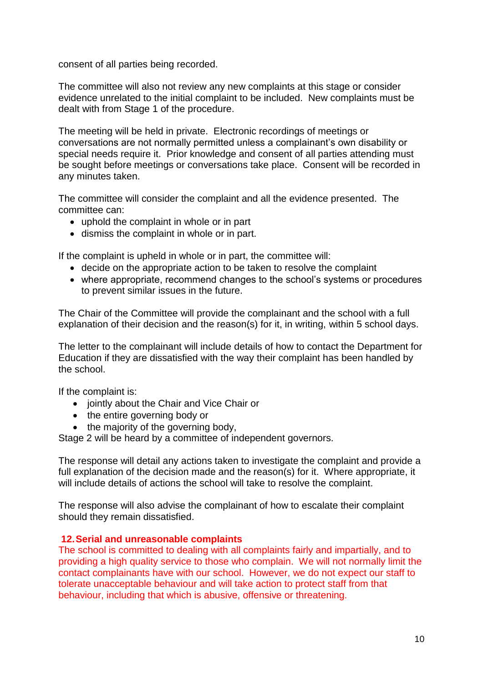consent of all parties being recorded.

The committee will also not review any new complaints at this stage or consider evidence unrelated to the initial complaint to be included. New complaints must be dealt with from Stage 1 of the procedure.

The meeting will be held in private. Electronic recordings of meetings or conversations are not normally permitted unless a complainant's own disability or special needs require it. Prior knowledge and consent of all parties attending must be sought before meetings or conversations take place. Consent will be recorded in any minutes taken.

The committee will consider the complaint and all the evidence presented. The committee can:

- uphold the complaint in whole or in part
- dismiss the complaint in whole or in part.

If the complaint is upheld in whole or in part, the committee will:

- decide on the appropriate action to be taken to resolve the complaint
- where appropriate, recommend changes to the school's systems or procedures to prevent similar issues in the future.

The Chair of the Committee will provide the complainant and the school with a full explanation of their decision and the reason(s) for it, in writing, within 5 school days.

The letter to the complainant will include details of how to contact the Department for Education if they are dissatisfied with the way their complaint has been handled by the school.

If the complaint is:

- jointly about the Chair and Vice Chair or
- the entire governing body or
- the majority of the governing body,

Stage 2 will be heard by a committee of independent governors.

The response will detail any actions taken to investigate the complaint and provide a full explanation of the decision made and the reason(s) for it. Where appropriate, it will include details of actions the school will take to resolve the complaint.

The response will also advise the complainant of how to escalate their complaint should they remain dissatisfied.

#### **12.Serial and unreasonable complaints**

The school is committed to dealing with all complaints fairly and impartially, and to providing a high quality service to those who complain. We will not normally limit the contact complainants have with our school. However, we do not expect our staff to tolerate unacceptable behaviour and will take action to protect staff from that behaviour, including that which is abusive, offensive or threatening.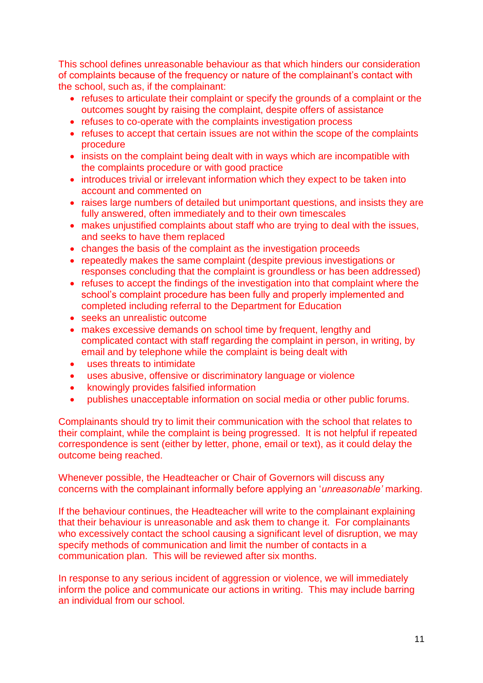This school defines unreasonable behaviour as that which hinders our consideration of complaints because of the frequency or nature of the complainant's contact with the school, such as, if the complainant:

- refuses to articulate their complaint or specify the grounds of a complaint or the outcomes sought by raising the complaint, despite offers of assistance
- refuses to co-operate with the complaints investigation process
- refuses to accept that certain issues are not within the scope of the complaints procedure
- insists on the complaint being dealt with in ways which are incompatible with the complaints procedure or with good practice
- introduces trivial or irrelevant information which they expect to be taken into account and commented on
- raises large numbers of detailed but unimportant questions, and insists they are fully answered, often immediately and to their own timescales
- makes unjustified complaints about staff who are trying to deal with the issues, and seeks to have them replaced
- changes the basis of the complaint as the investigation proceeds
- repeatedly makes the same complaint (despite previous investigations or responses concluding that the complaint is groundless or has been addressed)
- refuses to accept the findings of the investigation into that complaint where the school's complaint procedure has been fully and properly implemented and completed including referral to the Department for Education
- seeks an unrealistic outcome
- makes excessive demands on school time by frequent, lengthy and complicated contact with staff regarding the complaint in person, in writing, by email and by telephone while the complaint is being dealt with
- uses threats to intimidate
- uses abusive, offensive or discriminatory language or violence
- knowingly provides falsified information
- publishes unacceptable information on social media or other public forums.

Complainants should try to limit their communication with the school that relates to their complaint, while the complaint is being progressed. It is not helpful if repeated correspondence is sent (either by letter, phone, email or text), as it could delay the outcome being reached.

Whenever possible, the Headteacher or Chair of Governors will discuss any concerns with the complainant informally before applying an '*unreasonable'* marking.

If the behaviour continues, the Headteacher will write to the complainant explaining that their behaviour is unreasonable and ask them to change it. For complainants who excessively contact the school causing a significant level of disruption, we may specify methods of communication and limit the number of contacts in a communication plan. This will be reviewed after six months.

In response to any serious incident of aggression or violence, we will immediately inform the police and communicate our actions in writing. This may include barring an individual from our school.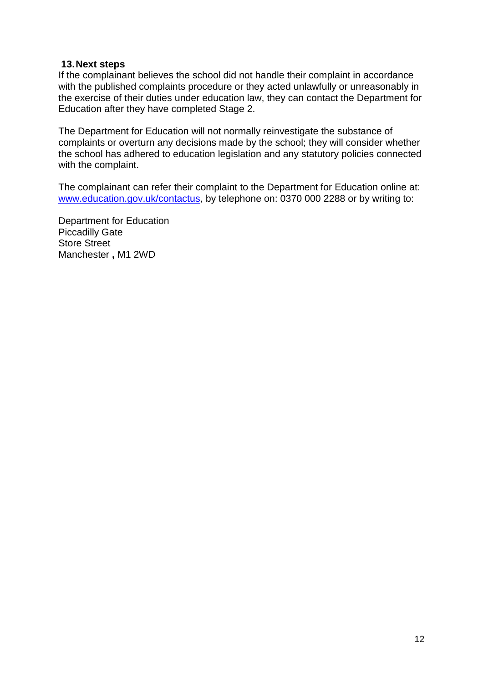#### **13.Next steps**

If the complainant believes the school did not handle their complaint in accordance with the published complaints procedure or they acted unlawfully or unreasonably in the exercise of their duties under education law, they can contact the Department for Education after they have completed Stage 2.

The Department for Education will not normally reinvestigate the substance of complaints or overturn any decisions made by the school; they will consider whether the school has adhered to education legislation and any statutory policies connected with the complaint.

The complainant can refer their complaint to the Department for Education online at: [www.education.gov.uk/contactus,](http://www.education.gov.uk/contactus) by telephone on: 0370 000 2288 or by writing to:

Department for Education Piccadilly Gate Store Street Manchester **,** M1 2WD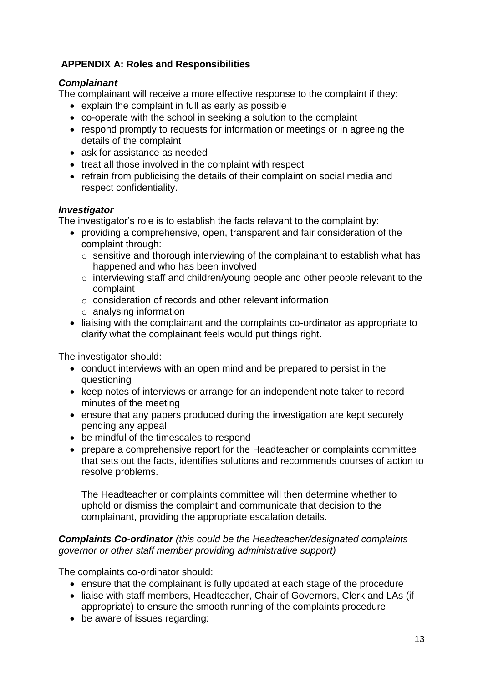# **APPENDIX A: Roles and Responsibilities**

# *Complainant*

The complainant will receive a more effective response to the complaint if they:

- explain the complaint in full as early as possible
- co-operate with the school in seeking a solution to the complaint
- respond promptly to requests for information or meetings or in agreeing the details of the complaint
- ask for assistance as needed
- treat all those involved in the complaint with respect
- refrain from publicising the details of their complaint on social media and respect confidentiality.

# *Investigator*

The investigator's role is to establish the facts relevant to the complaint by:

- providing a comprehensive, open, transparent and fair consideration of the complaint through:
	- $\circ$  sensitive and thorough interviewing of the complainant to establish what has happened and who has been involved
	- o interviewing staff and children/young people and other people relevant to the complaint
	- o consideration of records and other relevant information
	- o analysing information
- liaising with the complainant and the complaints co-ordinator as appropriate to clarify what the complainant feels would put things right.

The investigator should:

- conduct interviews with an open mind and be prepared to persist in the questioning
- keep notes of interviews or arrange for an independent note taker to record minutes of the meeting
- ensure that any papers produced during the investigation are kept securely pending any appeal
- be mindful of the timescales to respond
- prepare a comprehensive report for the Headteacher or complaints committee that sets out the facts, identifies solutions and recommends courses of action to resolve problems.

The Headteacher or complaints committee will then determine whether to uphold or dismiss the complaint and communicate that decision to the complainant, providing the appropriate escalation details.

# *Complaints Co-ordinator (this could be the Headteacher/designated complaints governor or other staff member providing administrative support)*

The complaints co-ordinator should:

- ensure that the complainant is fully updated at each stage of the procedure
- liaise with staff members, Headteacher, Chair of Governors, Clerk and LAs (if appropriate) to ensure the smooth running of the complaints procedure
- be aware of issues regarding: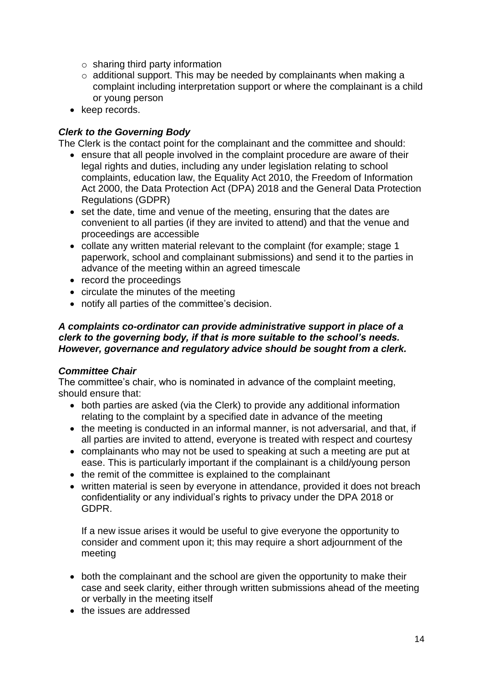- $\circ$  sharing third party information
- o additional support. This may be needed by complainants when making a complaint including interpretation support or where the complainant is a child or young person
- keep records.

# *Clerk to the Governing Body*

The Clerk is the contact point for the complainant and the committee and should:

- ensure that all people involved in the complaint procedure are aware of their legal rights and duties, including any under legislation relating to school complaints, education law, the Equality Act 2010, the Freedom of Information Act 2000, the Data Protection Act (DPA) 2018 and the General Data Protection Regulations (GDPR)
- set the date, time and venue of the meeting, ensuring that the dates are convenient to all parties (if they are invited to attend) and that the venue and proceedings are accessible
- collate any written material relevant to the complaint (for example; stage 1 paperwork, school and complainant submissions) and send it to the parties in advance of the meeting within an agreed timescale
- record the proceedings
- circulate the minutes of the meeting
- notify all parties of the committee's decision.

## *A complaints co-ordinator can provide administrative support in place of a clerk to the governing body, if that is more suitable to the school's needs. However, governance and regulatory advice should be sought from a clerk.*

#### *Committee Chair*

The committee's chair, who is nominated in advance of the complaint meeting, should ensure that:

- both parties are asked (via the Clerk) to provide any additional information relating to the complaint by a specified date in advance of the meeting
- the meeting is conducted in an informal manner, is not adversarial, and that, if all parties are invited to attend, everyone is treated with respect and courtesy
- complainants who may not be used to speaking at such a meeting are put at ease. This is particularly important if the complainant is a child/young person
- the remit of the committee is explained to the complainant
- written material is seen by everyone in attendance, provided it does not breach confidentiality or any individual's rights to privacy under the DPA 2018 or GDPR.

If a new issue arises it would be useful to give everyone the opportunity to consider and comment upon it; this may require a short adjournment of the meeting

- both the complainant and the school are given the opportunity to make their case and seek clarity, either through written submissions ahead of the meeting or verbally in the meeting itself
- the issues are addressed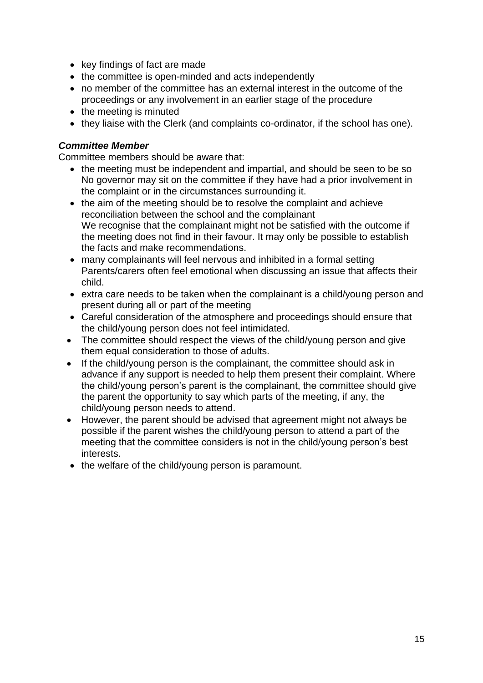- key findings of fact are made
- the committee is open-minded and acts independently
- no member of the committee has an external interest in the outcome of the proceedings or any involvement in an earlier stage of the procedure
- the meeting is minuted
- they liaise with the Clerk (and complaints co-ordinator, if the school has one).

## *Committee Member*

Committee members should be aware that:

- the meeting must be independent and impartial, and should be seen to be so No governor may sit on the committee if they have had a prior involvement in the complaint or in the circumstances surrounding it.
- the aim of the meeting should be to resolve the complaint and achieve reconciliation between the school and the complainant We recognise that the complainant might not be satisfied with the outcome if the meeting does not find in their favour. It may only be possible to establish the facts and make recommendations.
- many complainants will feel nervous and inhibited in a formal setting Parents/carers often feel emotional when discussing an issue that affects their child.
- extra care needs to be taken when the complainant is a child/young person and present during all or part of the meeting
- Careful consideration of the atmosphere and proceedings should ensure that the child/young person does not feel intimidated.
- The committee should respect the views of the child/young person and give them equal consideration to those of adults.
- If the child/young person is the complainant, the committee should ask in advance if any support is needed to help them present their complaint. Where the child/young person's parent is the complainant, the committee should give the parent the opportunity to say which parts of the meeting, if any, the child/young person needs to attend.
- However, the parent should be advised that agreement might not always be possible if the parent wishes the child/young person to attend a part of the meeting that the committee considers is not in the child/young person's best interests.
- the welfare of the child/young person is paramount.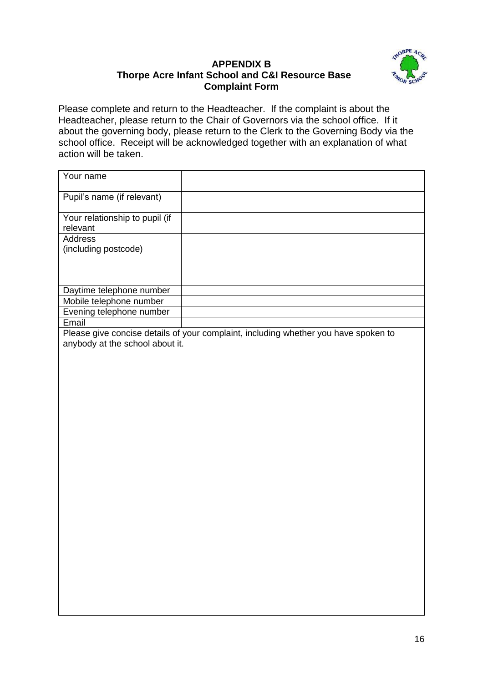# **APPENDIX B Thorpe Acre Infant School and C&I Resource Base Complaint Form**



Please complete and return to the Headteacher. If the complaint is about the Headteacher, please return to the Chair of Governors via the school office. If it about the governing body, please return to the Clerk to the Governing Body via the school office. Receipt will be acknowledged together with an explanation of what action will be taken.

| Your name                                                                           |  |
|-------------------------------------------------------------------------------------|--|
| Pupil's name (if relevant)                                                          |  |
| Your relationship to pupil (if<br>relevant                                          |  |
| Address                                                                             |  |
| (including postcode)                                                                |  |
|                                                                                     |  |
|                                                                                     |  |
| Daytime telephone number                                                            |  |
| Mobile telephone number                                                             |  |
| Evening telephone number                                                            |  |
| Email                                                                               |  |
| Please give concise details of your complaint, including whether you have spoken to |  |
| anybody at the school about it.                                                     |  |
|                                                                                     |  |
|                                                                                     |  |
|                                                                                     |  |
|                                                                                     |  |
|                                                                                     |  |
|                                                                                     |  |
|                                                                                     |  |
|                                                                                     |  |
|                                                                                     |  |
|                                                                                     |  |
|                                                                                     |  |
|                                                                                     |  |
|                                                                                     |  |
|                                                                                     |  |
|                                                                                     |  |
|                                                                                     |  |
|                                                                                     |  |
|                                                                                     |  |
|                                                                                     |  |
|                                                                                     |  |
|                                                                                     |  |
|                                                                                     |  |